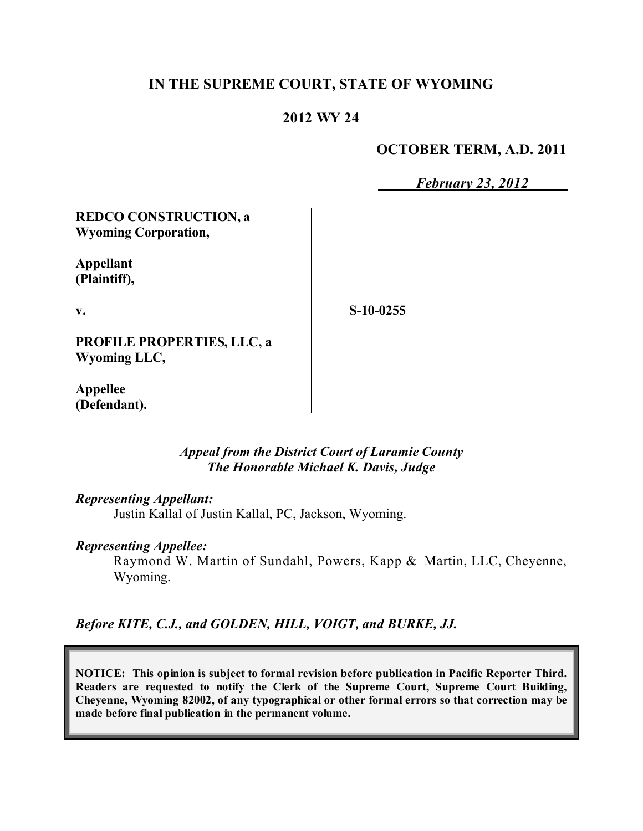## **IN THE SUPREME COURT, STATE OF WYOMING**

## **2012 WY 24**

### **OCTOBER TERM, A.D. 2011**

*February 23, 2012*

**REDCO CONSTRUCTION, a Wyoming Corporation,**

**Appellant (Plaintiff),**

**v.**

**S-10-0255**

**PROFILE PROPERTIES, LLC, a Wyoming LLC,**

**Appellee (Defendant).**

### *Appeal from the District Court of Laramie County The Honorable Michael K. Davis, Judge*

#### *Representing Appellant:*

Justin Kallal of Justin Kallal, PC, Jackson, Wyoming.

#### *Representing Appellee:*

Raymond W. Martin of Sundahl, Powers, Kapp & Martin, LLC, Cheyenne, Wyoming.

*Before KITE, C.J., and GOLDEN, HILL, VOIGT, and BURKE, JJ.*

**NOTICE: This opinion is subject to formal revision before publication in Pacific Reporter Third. Readers are requested to notify the Clerk of the Supreme Court, Supreme Court Building, Cheyenne, Wyoming 82002, of any typographical or other formal errors so that correction may be made before final publication in the permanent volume.**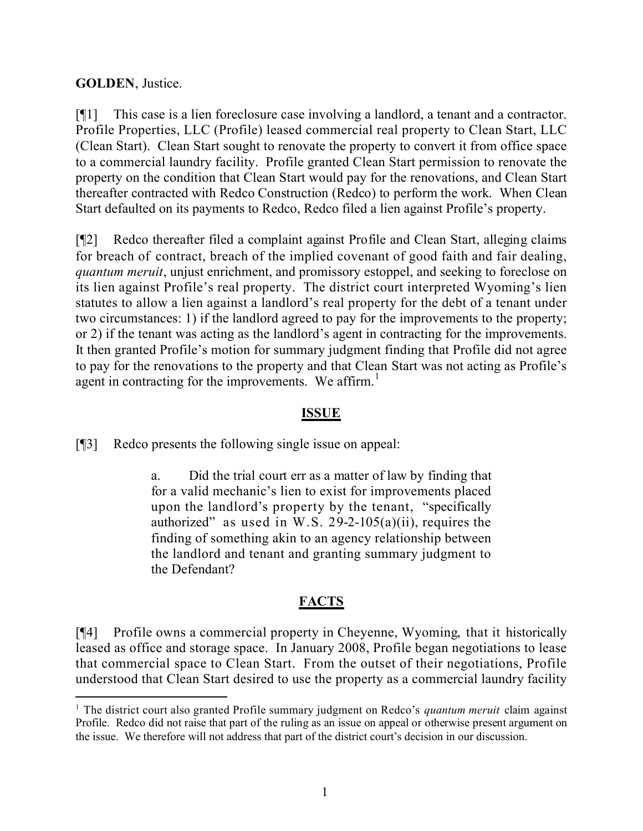### **GOLDEN**, Justice.

 $\overline{a}$ 

[¶1] This case is a lien foreclosure case involving a landlord, a tenant and a contractor. Profile Properties, LLC (Profile) leased commercial real property to Clean Start, LLC (Clean Start). Clean Start sought to renovate the property to convert it from office space to a commercial laundry facility. Profile granted Clean Start permission to renovate the property on the condition that Clean Start would pay for the renovations, and Clean Start thereafter contracted with Redco Construction (Redco) to perform the work. When Clean Start defaulted on its payments to Redco, Redco filed a lien against Profile's property.

[¶2] Redco thereafter filed a complaint against Profile and Clean Start, alleging claims for breach of contract, breach of the implied covenant of good faith and fair dealing, *quantum meruit*, unjust enrichment, and promissory estoppel, and seeking to foreclose on its lien against Profile's real property. The district court interpreted Wyoming's lien statutes to allow a lien against a landlord's real property for the debt of a tenant under two circumstances: 1) if the landlord agreed to pay for the improvements to the property; or 2) if the tenant was acting as the landlord's agent in contracting for the improvements. It then granted Profile's motion for summary judgment finding that Profile did not agree to pay for the renovations to the property and that Clean Start was not acting as Profile's agent in contracting for the improvements. We affirm. $<sup>1</sup>$ </sup>

### **ISSUE**

[¶3] Redco presents the following single issue on appeal:

a. Did the trial court err as a matter of law by finding that for a valid mechanic's lien to exist for improvements placed upon the landlord's property by the tenant, "specifically authorized" as used in W.S.  $29-2-105(a)(ii)$ , requires the finding of something akin to an agency relationship between the landlord and tenant and granting summary judgment to the Defendant?

# **FACTS**

[¶4] Profile owns a commercial property in Cheyenne, Wyoming, that it historically leased as office and storage space. In January 2008, Profile began negotiations to lease that commercial space to Clean Start. From the outset of their negotiations, Profile understood that Clean Start desired to use the property as a commercial laundry facility

<sup>1</sup> The district court also granted Profile summary judgment on Redco's *quantum meruit* claim against Profile. Redco did not raise that part of the ruling as an issue on appeal or otherwise present argument on the issue. We therefore will not address that part of the district court's decision in our discussion.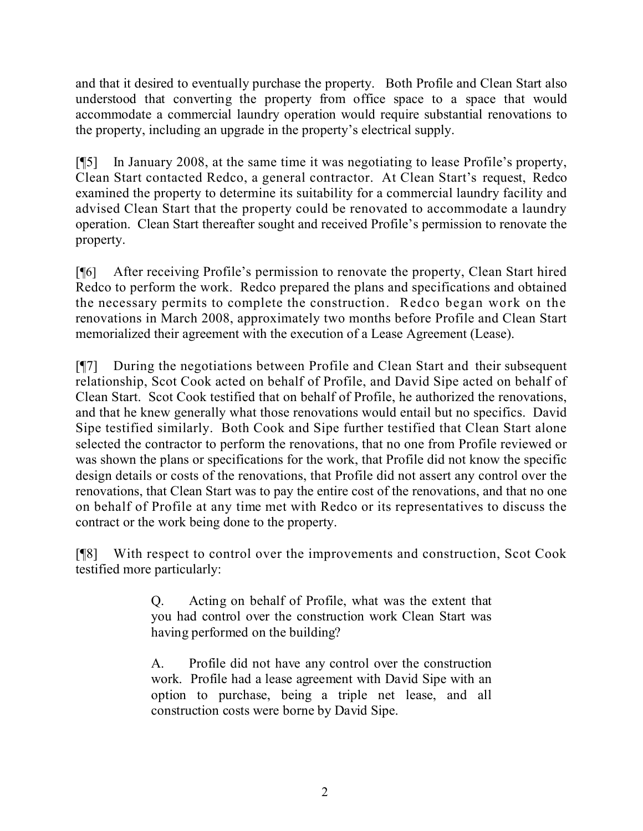and that it desired to eventually purchase the property. Both Profile and Clean Start also understood that converting the property from office space to a space that would accommodate a commercial laundry operation would require substantial renovations to the property, including an upgrade in the property's electrical supply.

[¶5] In January 2008, at the same time it was negotiating to lease Profile's property, Clean Start contacted Redco, a general contractor. At Clean Start's request, Redco examined the property to determine its suitability for a commercial laundry facility and advised Clean Start that the property could be renovated to accommodate a laundry operation. Clean Start thereafter sought and received Profile's permission to renovate the property.

[¶6] After receiving Profile's permission to renovate the property, Clean Start hired Redco to perform the work. Redco prepared the plans and specifications and obtained the necessary permits to complete the construction. Redco began work on the renovations in March 2008, approximately two months before Profile and Clean Start memorialized their agreement with the execution of a Lease Agreement (Lease).

[¶7] During the negotiations between Profile and Clean Start and their subsequent relationship, Scot Cook acted on behalf of Profile, and David Sipe acted on behalf of Clean Start. Scot Cook testified that on behalf of Profile, he authorized the renovations, and that he knew generally what those renovations would entail but no specifics. David Sipe testified similarly. Both Cook and Sipe further testified that Clean Start alone selected the contractor to perform the renovations, that no one from Profile reviewed or was shown the plans or specifications for the work, that Profile did not know the specific design details or costs of the renovations, that Profile did not assert any control over the renovations, that Clean Start was to pay the entire cost of the renovations, and that no one on behalf of Profile at any time met with Redco or its representatives to discuss the contract or the work being done to the property.

[¶8] With respect to control over the improvements and construction, Scot Cook testified more particularly:

> Q. Acting on behalf of Profile, what was the extent that you had control over the construction work Clean Start was having performed on the building?

> A. Profile did not have any control over the construction work. Profile had a lease agreement with David Sipe with an option to purchase, being a triple net lease, and all construction costs were borne by David Sipe.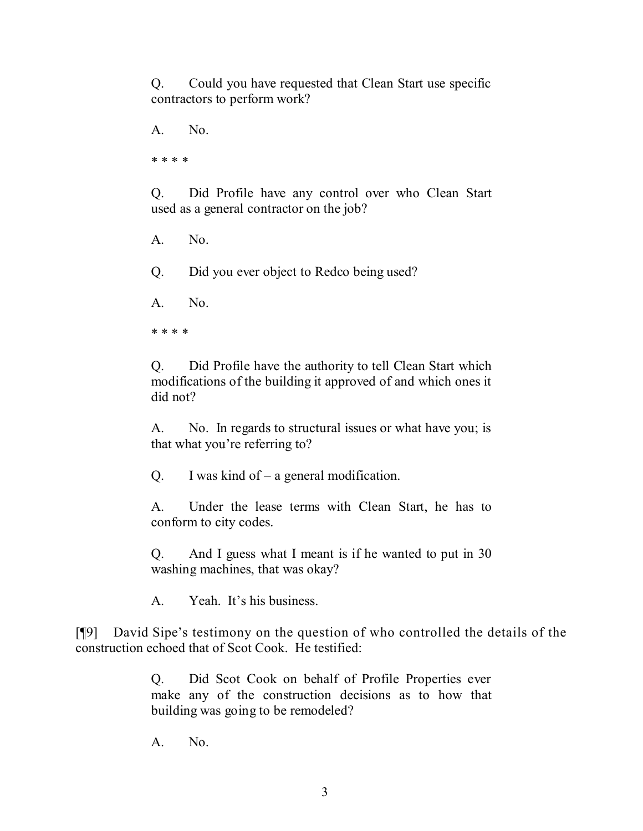Q. Could you have requested that Clean Start use specific contractors to perform work?

A. No.

\* \* \* \*

Q. Did Profile have any control over who Clean Start used as a general contractor on the job?

A. No.

Q. Did you ever object to Redco being used?

A. No.

\* \* \* \*

Q. Did Profile have the authority to tell Clean Start which modifications of the building it approved of and which ones it did not?

A. No. In regards to structural issues or what have you; is that what you're referring to?

Q. I was kind of – a general modification.

A. Under the lease terms with Clean Start, he has to conform to city codes.

Q. And I guess what I meant is if he wanted to put in 30 washing machines, that was okay?

A. Yeah. It's his business.

[¶9] David Sipe's testimony on the question of who controlled the details of the construction echoed that of Scot Cook. He testified:

> Q. Did Scot Cook on behalf of Profile Properties ever make any of the construction decisions as to how that building was going to be remodeled?

A. No.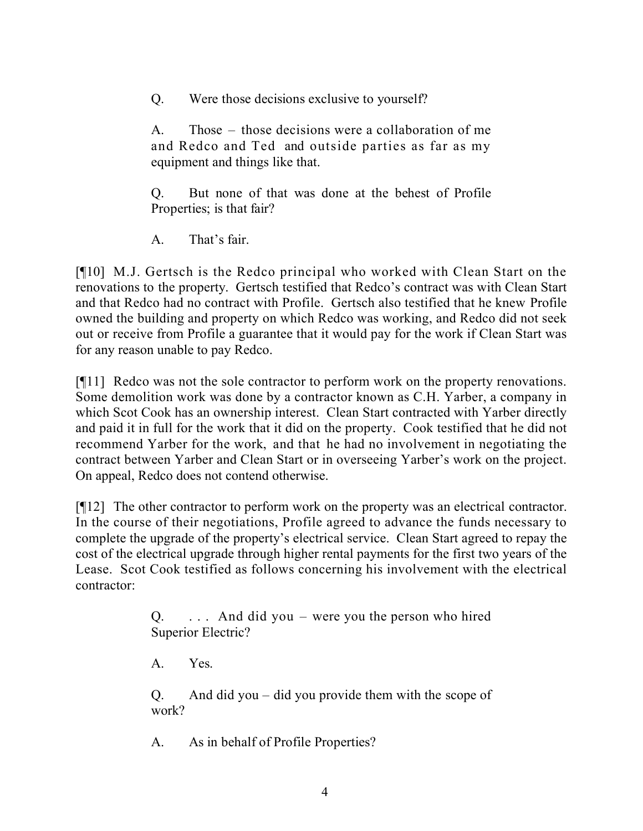Q. Were those decisions exclusive to yourself?

A. Those – those decisions were a collaboration of me and Redco and Ted and outside parties as far as my equipment and things like that.

Q. But none of that was done at the behest of Profile Properties; is that fair?

A. That's fair.

[¶10] M.J. Gertsch is the Redco principal who worked with Clean Start on the renovations to the property. Gertsch testified that Redco's contract was with Clean Start and that Redco had no contract with Profile. Gertsch also testified that he knew Profile owned the building and property on which Redco was working, and Redco did not seek out or receive from Profile a guarantee that it would pay for the work if Clean Start was for any reason unable to pay Redco.

[¶11] Redco was not the sole contractor to perform work on the property renovations. Some demolition work was done by a contractor known as C.H. Yarber, a company in which Scot Cook has an ownership interest. Clean Start contracted with Yarber directly and paid it in full for the work that it did on the property. Cook testified that he did not recommend Yarber for the work, and that he had no involvement in negotiating the contract between Yarber and Clean Start or in overseeing Yarber's work on the project. On appeal, Redco does not contend otherwise.

[¶12] The other contractor to perform work on the property was an electrical contractor. In the course of their negotiations, Profile agreed to advance the funds necessary to complete the upgrade of the property's electrical service. Clean Start agreed to repay the cost of the electrical upgrade through higher rental payments for the first two years of the Lease. Scot Cook testified as follows concerning his involvement with the electrical contractor:

> $Q.$  ... And did you – were you the person who hired Superior Electric?

A. Yes.

Q. And did you – did you provide them with the scope of work?

A. As in behalf of Profile Properties?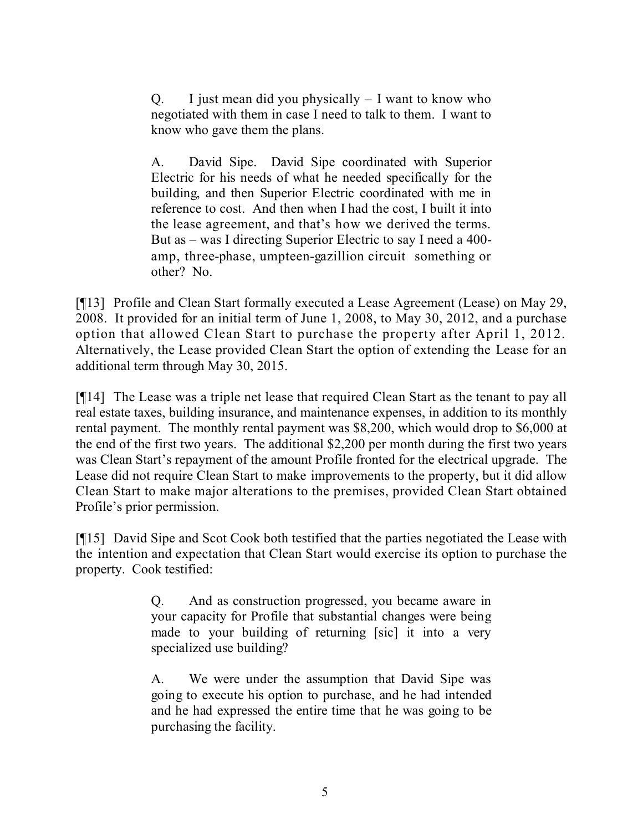Q. I just mean did you physically  $- I$  want to know who negotiated with them in case I need to talk to them. I want to know who gave them the plans.

A. David Sipe. David Sipe coordinated with Superior Electric for his needs of what he needed specifically for the building, and then Superior Electric coordinated with me in reference to cost. And then when I had the cost, I built it into the lease agreement, and that's how we derived the terms. But as – was I directing Superior Electric to say I need a 400 amp, three-phase, umpteen-gazillion circuit something or other? No.

[¶13] Profile and Clean Start formally executed a Lease Agreement (Lease) on May 29, 2008. It provided for an initial term of June 1, 2008, to May 30, 2012, and a purchase option that allowed Clean Start to purchase the property after April 1, 2012. Alternatively, the Lease provided Clean Start the option of extending the Lease for an additional term through May 30, 2015.

[¶14] The Lease was a triple net lease that required Clean Start as the tenant to pay all real estate taxes, building insurance, and maintenance expenses, in addition to its monthly rental payment. The monthly rental payment was \$8,200, which would drop to \$6,000 at the end of the first two years. The additional \$2,200 per month during the first two years was Clean Start's repayment of the amount Profile fronted for the electrical upgrade. The Lease did not require Clean Start to make improvements to the property, but it did allow Clean Start to make major alterations to the premises, provided Clean Start obtained Profile's prior permission.

[¶15] David Sipe and Scot Cook both testified that the parties negotiated the Lease with the intention and expectation that Clean Start would exercise its option to purchase the property. Cook testified:

> Q. And as construction progressed, you became aware in your capacity for Profile that substantial changes were being made to your building of returning [sic] it into a very specialized use building?

> A. We were under the assumption that David Sipe was going to execute his option to purchase, and he had intended and he had expressed the entire time that he was going to be purchasing the facility.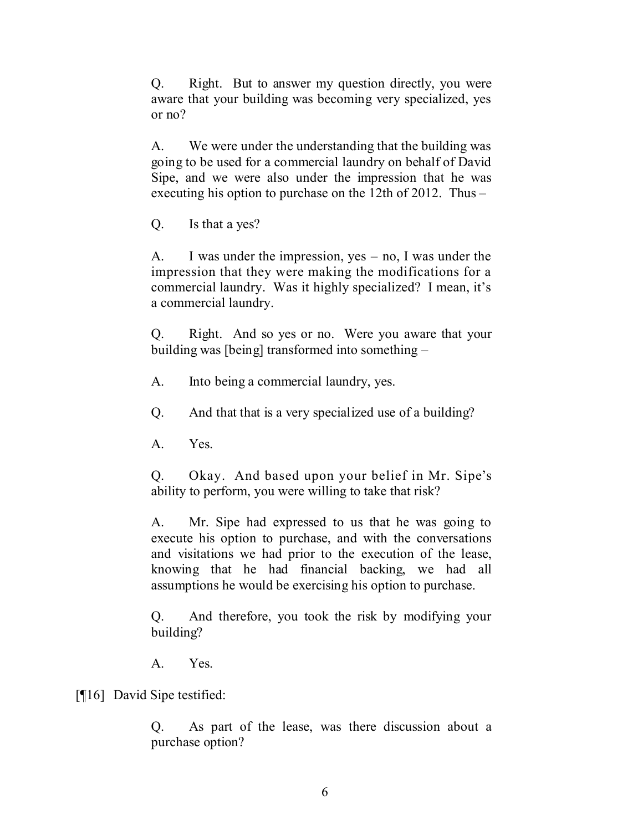Q. Right. But to answer my question directly, you were aware that your building was becoming very specialized, yes or no?

A. We were under the understanding that the building was going to be used for a commercial laundry on behalf of David Sipe, and we were also under the impression that he was executing his option to purchase on the 12th of 2012. Thus –

Q. Is that a yes?

A. I was under the impression, yes – no, I was under the impression that they were making the modifications for a commercial laundry. Was it highly specialized? I mean, it's a commercial laundry.

Q. Right. And so yes or no. Were you aware that your building was [being] transformed into something –

A. Into being a commercial laundry, yes.

Q. And that that is a very specialized use of a building?

A. Yes.

Q. Okay. And based upon your belief in Mr. Sipe's ability to perform, you were willing to take that risk?

A. Mr. Sipe had expressed to us that he was going to execute his option to purchase, and with the conversations and visitations we had prior to the execution of the lease, knowing that he had financial backing, we had all assumptions he would be exercising his option to purchase.

Q. And therefore, you took the risk by modifying your building?

A. Yes.

[¶16] David Sipe testified:

Q. As part of the lease, was there discussion about a purchase option?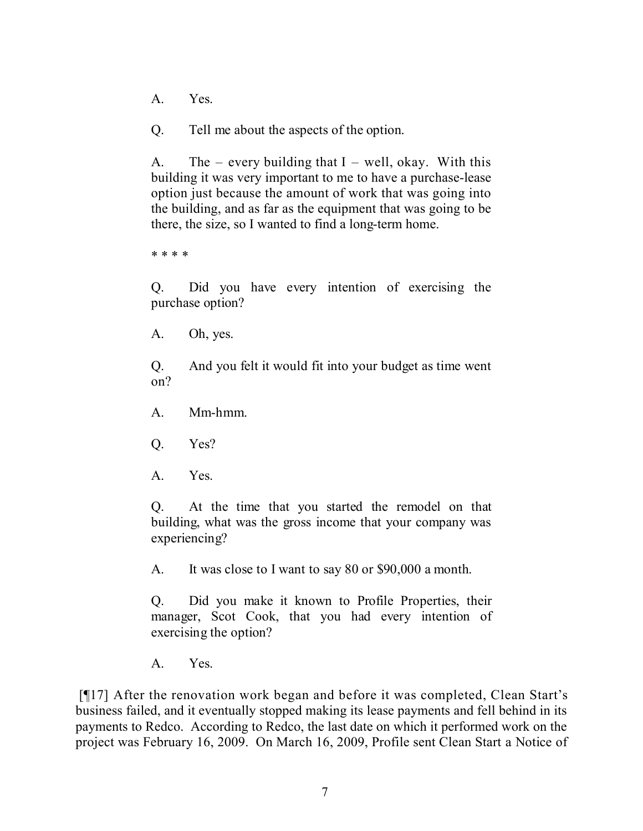A. Yes.

Q. Tell me about the aspects of the option.

A. The – every building that  $I$  – well, okay. With this building it was very important to me to have a purchase-lease option just because the amount of work that was going into the building, and as far as the equipment that was going to be there, the size, so I wanted to find a long-term home.

\* \* \* \*

Q. Did you have every intention of exercising the purchase option?

A. Oh, yes.

Q. And you felt it would fit into your budget as time went on?

- A. Mm-hmm.
- Q. Yes?
- A. Yes.

Q. At the time that you started the remodel on that building, what was the gross income that your company was experiencing?

A. It was close to I want to say 80 or \$90,000 a month.

Q. Did you make it known to Profile Properties, their manager, Scot Cook, that you had every intention of exercising the option?

A. Yes.

[¶17] After the renovation work began and before it was completed, Clean Start's business failed, and it eventually stopped making its lease payments and fell behind in its payments to Redco. According to Redco, the last date on which it performed work on the project was February 16, 2009. On March 16, 2009, Profile sent Clean Start a Notice of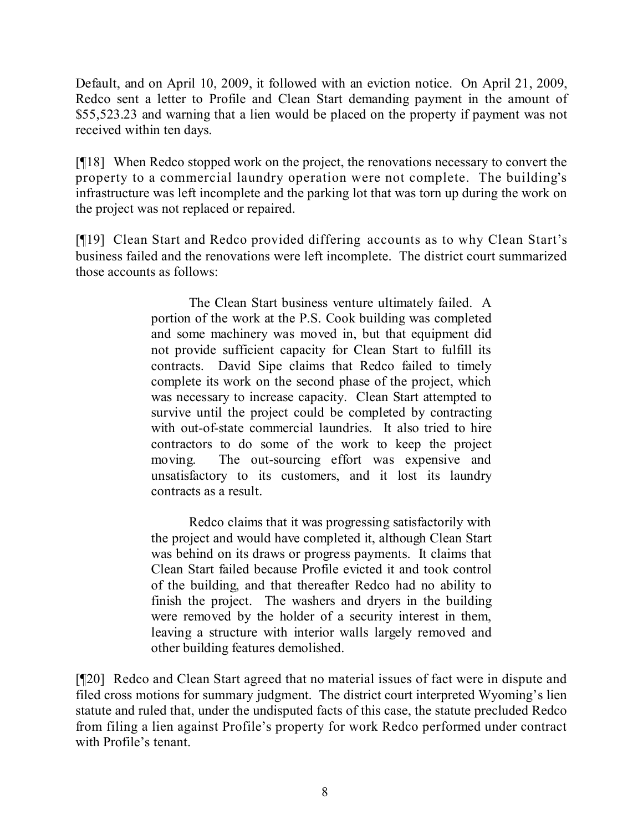Default, and on April 10, 2009, it followed with an eviction notice. On April 21, 2009, Redco sent a letter to Profile and Clean Start demanding payment in the amount of \$55,523.23 and warning that a lien would be placed on the property if payment was not received within ten days.

[¶18] When Redco stopped work on the project, the renovations necessary to convert the property to a commercial laundry operation were not complete. The building's infrastructure was left incomplete and the parking lot that was torn up during the work on the project was not replaced or repaired.

[¶19] Clean Start and Redco provided differing accounts as to why Clean Start's business failed and the renovations were left incomplete. The district court summarized those accounts as follows:

> The Clean Start business venture ultimately failed. A portion of the work at the P.S. Cook building was completed and some machinery was moved in, but that equipment did not provide sufficient capacity for Clean Start to fulfill its contracts. David Sipe claims that Redco failed to timely complete its work on the second phase of the project, which was necessary to increase capacity. Clean Start attempted to survive until the project could be completed by contracting with out-of-state commercial laundries. It also tried to hire contractors to do some of the work to keep the project moving. The out-sourcing effort was expensive and unsatisfactory to its customers, and it lost its laundry contracts as a result.

> Redco claims that it was progressing satisfactorily with the project and would have completed it, although Clean Start was behind on its draws or progress payments. It claims that Clean Start failed because Profile evicted it and took control of the building, and that thereafter Redco had no ability to finish the project. The washers and dryers in the building were removed by the holder of a security interest in them, leaving a structure with interior walls largely removed and other building features demolished.

[¶20] Redco and Clean Start agreed that no material issues of fact were in dispute and filed cross motions for summary judgment. The district court interpreted Wyoming's lien statute and ruled that, under the undisputed facts of this case, the statute precluded Redco from filing a lien against Profile's property for work Redco performed under contract with Profile's tenant.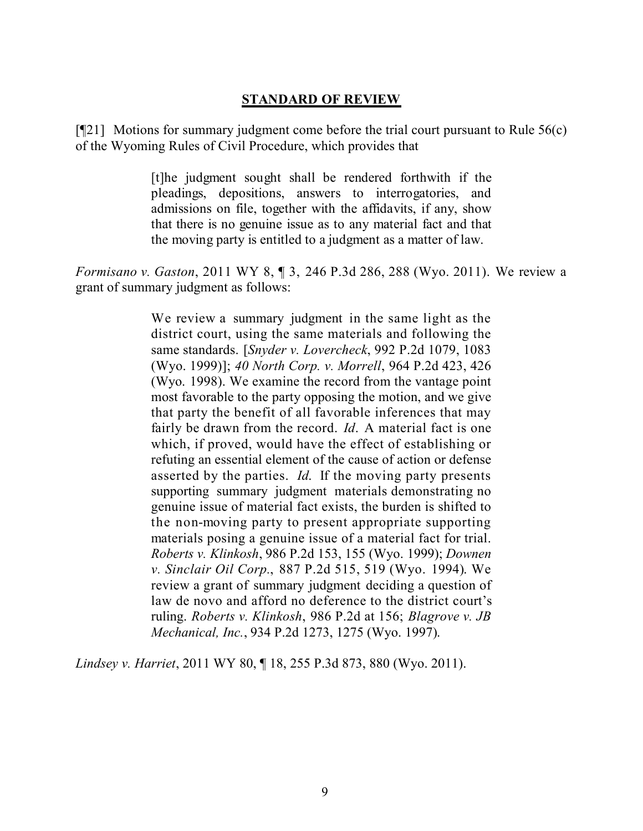### **STANDARD OF REVIEW**

 $[921]$  Motions for summary judgment come before the trial court pursuant to Rule 56(c) of the Wyoming Rules of Civil Procedure, which provides that

> [t]he judgment sought shall be rendered forthwith if the pleadings, depositions, answers to interrogatories, and admissions on file, together with the affidavits, if any, show that there is no genuine issue as to any material fact and that the moving party is entitled to a judgment as a matter of law.

*Formisano v. Gaston*, 2011 WY 8, ¶ 3, 246 P.3d 286, 288 (Wyo. 2011). We review a grant of summary judgment as follows:

> We review a summary judgment in the same light as the district court, using the same materials and following the same standards. [*Snyder v. Lovercheck*, 992 P.2d 1079, 1083 (Wyo. 1999)]; *40 North Corp. v. Morrell*, 964 P.2d 423, 426 (Wyo. 1998). We examine the record from the vantage point most favorable to the party opposing the motion, and we give that party the benefit of all favorable inferences that may fairly be drawn from the record. *Id*. A material fact is one which, if proved, would have the effect of establishing or refuting an essential element of the cause of action or defense asserted by the parties. *Id*. If the moving party presents supporting summary judgment materials demonstrating no genuine issue of material fact exists, the burden is shifted to the non-moving party to present appropriate supporting materials posing a genuine issue of a material fact for trial. *Roberts v. Klinkosh*, 986 P.2d 153, 155 (Wyo. 1999); *Downen v. Sinclair Oil Corp.*, 887 P.2d 515, 519 (Wyo. 1994). We review a grant of summary judgment deciding a question of law de novo and afford no deference to the district court's ruling. *Roberts v. Klinkosh*, 986 P.2d at 156; *Blagrove v. JB Mechanical, Inc.*, 934 P.2d 1273, 1275 (Wyo. 1997).

*Lindsey v. Harriet*, 2011 WY 80, ¶ 18, 255 P.3d 873, 880 (Wyo. 2011).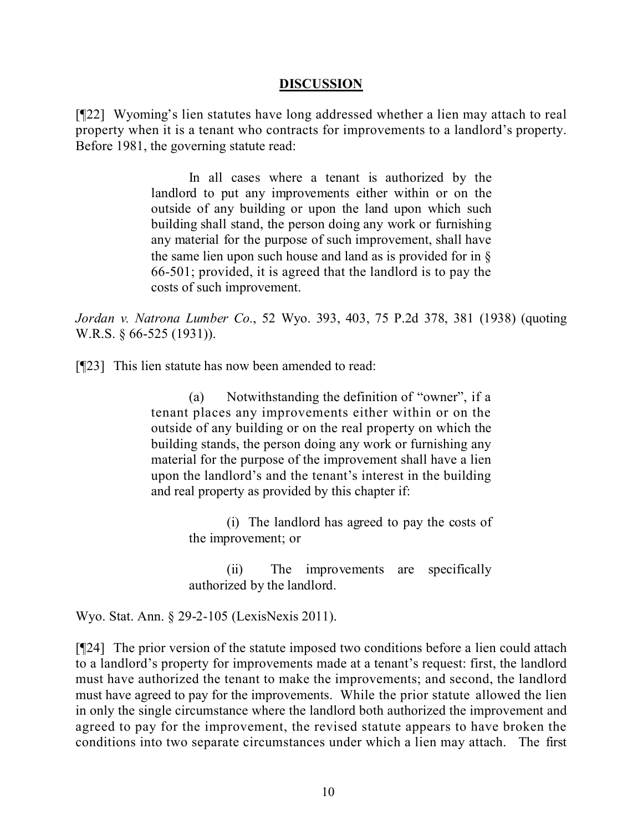#### **DISCUSSION**

[¶22] Wyoming's lien statutes have long addressed whether a lien may attach to real property when it is a tenant who contracts for improvements to a landlord's property. Before 1981, the governing statute read:

> In all cases where a tenant is authorized by the landlord to put any improvements either within or on the outside of any building or upon the land upon which such building shall stand, the person doing any work or furnishing any material for the purpose of such improvement, shall have the same lien upon such house and land as is provided for in § 66-501; provided, it is agreed that the landlord is to pay the costs of such improvement.

*Jordan v. Natrona Lumber Co.*, 52 Wyo. 393, 403, 75 P.2d 378, 381 (1938) (quoting W.R.S. § 66-525 (1931)).

[¶23] This lien statute has now been amended to read:

(a) Notwithstanding the definition of "owner", if a tenant places any improvements either within or on the outside of any building or on the real property on which the building stands, the person doing any work or furnishing any material for the purpose of the improvement shall have a lien upon the landlord's and the tenant's interest in the building and real property as provided by this chapter if:

> (i) The landlord has agreed to pay the costs of the improvement; or

> (ii) The improvements are specifically authorized by the landlord.

Wyo. Stat. Ann. § 29-2-105 (LexisNexis 2011).

[¶24] The prior version of the statute imposed two conditions before a lien could attach to a landlord's property for improvements made at a tenant's request: first, the landlord must have authorized the tenant to make the improvements; and second, the landlord must have agreed to pay for the improvements. While the prior statute allowed the lien in only the single circumstance where the landlord both authorized the improvement and agreed to pay for the improvement, the revised statute appears to have broken the conditions into two separate circumstances under which a lien may attach. The first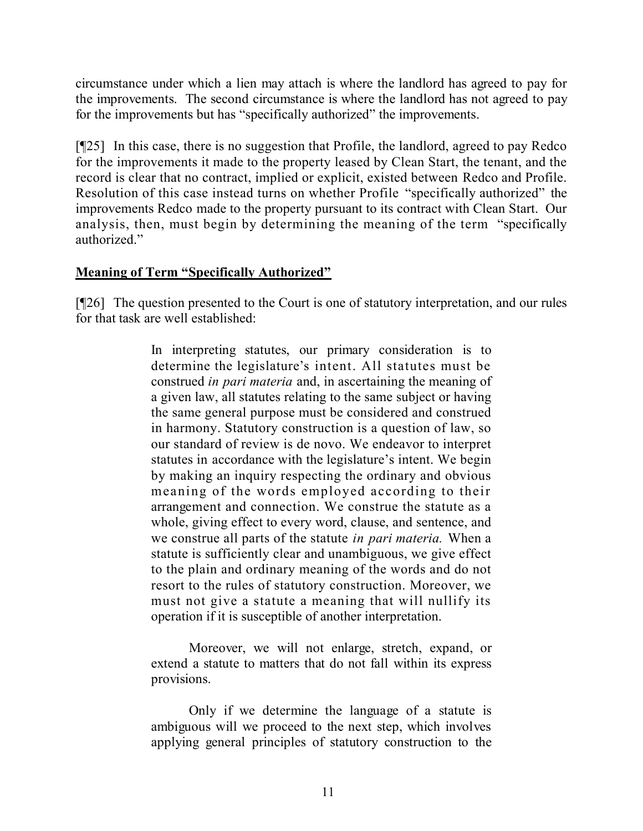circumstance under which a lien may attach is where the landlord has agreed to pay for the improvements. The second circumstance is where the landlord has not agreed to pay for the improvements but has "specifically authorized" the improvements.

[¶25] In this case, there is no suggestion that Profile, the landlord, agreed to pay Redco for the improvements it made to the property leased by Clean Start, the tenant, and the record is clear that no contract, implied or explicit, existed between Redco and Profile. Resolution of this case instead turns on whether Profile "specifically authorized" the improvements Redco made to the property pursuant to its contract with Clean Start. Our analysis, then, must begin by determining the meaning of the term "specifically authorized."

## **Meaning of Term "Specifically Authorized"**

[¶26] The question presented to the Court is one of statutory interpretation, and our rules for that task are well established:

> In interpreting statutes, our primary consideration is to determine the legislature's intent. All statutes must be construed *in pari materia* and, in ascertaining the meaning of a given law, all statutes relating to the same subject or having the same general purpose must be considered and construed in harmony. Statutory construction is a question of law, so our standard of review is de novo. We endeavor to interpret statutes in accordance with the legislature's intent. We begin by making an inquiry respecting the ordinary and obvious meaning of the words employed according to their arrangement and connection. We construe the statute as a whole, giving effect to every word, clause, and sentence, and we construe all parts of the statute *in pari materia.* When a statute is sufficiently clear and unambiguous, we give effect to the plain and ordinary meaning of the words and do not resort to the rules of statutory construction. Moreover, we must not give a statute a meaning that will nullify its operation if it is susceptible of another interpretation.

> Moreover, we will not enlarge, stretch, expand, or extend a statute to matters that do not fall within its express provisions.

> Only if we determine the language of a statute is ambiguous will we proceed to the next step, which involves applying general principles of statutory construction to the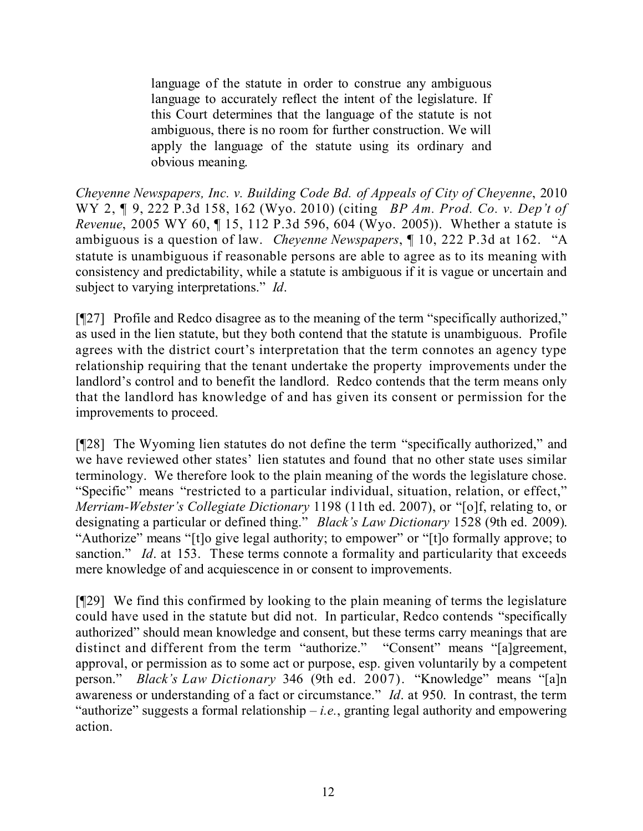language of the statute in order to construe any ambiguous language to accurately reflect the intent of the legislature. If this Court determines that the language of the statute is not ambiguous, there is no room for further construction. We will apply the language of the statute using its ordinary and obvious meaning.

*Cheyenne Newspapers, Inc. v. Building Code Bd. of Appeals of City of Cheyenne*, 2010 WY 2, ¶ 9, 222 P.3d 158, 162 (Wyo. 2010) (citing *BP Am. Prod. Co. v. Dep't of Revenue*, 2005 WY 60, ¶ 15, 112 P.3d 596, 604 (Wyo. 2005)). Whether a statute is ambiguous is a question of law. *Cheyenne Newspapers*, ¶ 10, 222 P.3d at 162. "A statute is unambiguous if reasonable persons are able to agree as to its meaning with consistency and predictability, while a statute is ambiguous if it is vague or uncertain and subject to varying interpretations." *Id*.

[¶27] Profile and Redco disagree as to the meaning of the term "specifically authorized," as used in the lien statute, but they both contend that the statute is unambiguous. Profile agrees with the district court's interpretation that the term connotes an agency type relationship requiring that the tenant undertake the property improvements under the landlord's control and to benefit the landlord. Redco contends that the term means only that the landlord has knowledge of and has given its consent or permission for the improvements to proceed.

[¶28] The Wyoming lien statutes do not define the term "specifically authorized," and we have reviewed other states' lien statutes and found that no other state uses similar terminology. We therefore look to the plain meaning of the words the legislature chose. "Specific" means "restricted to a particular individual, situation, relation, or effect," *Merriam-Webster's Collegiate Dictionary* 1198 (11th ed. 2007), or "[o]f, relating to, or designating a particular or defined thing." *Black's Law Dictionary* 1528 (9th ed. 2009). "Authorize" means "[t]o give legal authority; to empower" or "[t]o formally approve; to sanction." *Id.* at 153. These terms connote a formality and particularity that exceeds mere knowledge of and acquiescence in or consent to improvements.

[¶29] We find this confirmed by looking to the plain meaning of terms the legislature could have used in the statute but did not. In particular, Redco contends "specifically authorized" should mean knowledge and consent, but these terms carry meanings that are distinct and different from the term "authorize." "Consent" means "[a]greement, approval, or permission as to some act or purpose, esp. given voluntarily by a competent person." *Black's Law Dictionary* 346 (9th ed. 2007). "Knowledge" means "[a]n awareness or understanding of a fact or circumstance." *Id*. at 950. In contrast, the term "authorize" suggests a formal relationship  $-i.e.,$  granting legal authority and empowering action.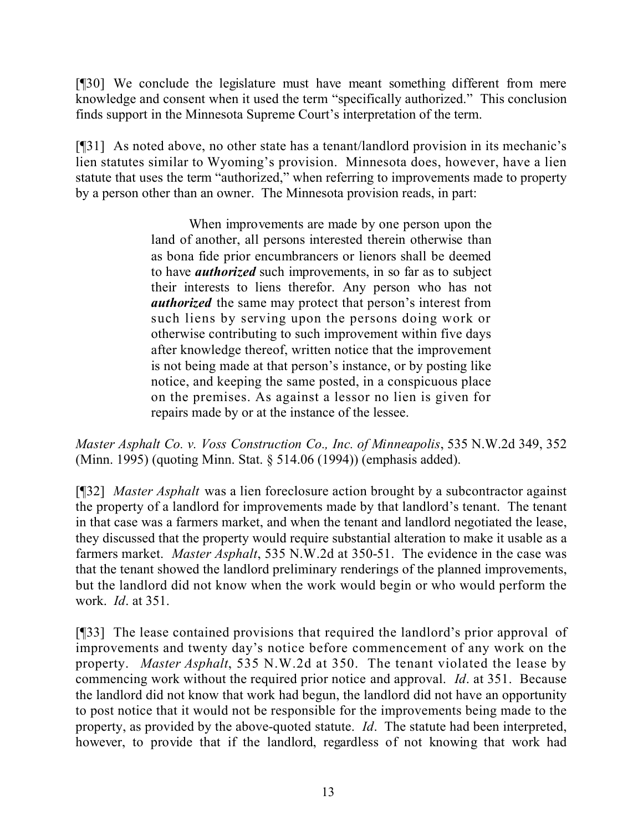[¶30] We conclude the legislature must have meant something different from mere knowledge and consent when it used the term "specifically authorized." This conclusion finds support in the Minnesota Supreme Court's interpretation of the term.

[¶31] As noted above, no other state has a tenant/landlord provision in its mechanic's lien statutes similar to Wyoming's provision. Minnesota does, however, have a lien statute that uses the term "authorized," when referring to improvements made to property by a person other than an owner. The Minnesota provision reads, in part:

> When improvements are made by one person upon the land of another, all persons interested therein otherwise than as bona fide prior encumbrancers or lienors shall be deemed to have *authorized* such improvements, in so far as to subject their interests to liens therefor. Any person who has not *authorized* the same may protect that person's interest from such liens by serving upon the persons doing work or otherwise contributing to such improvement within five days after knowledge thereof, written notice that the improvement is not being made at that person's instance, or by posting like notice, and keeping the same posted, in a conspicuous place on the premises. As against a lessor no lien is given for repairs made by or at the instance of the lessee.

*Master Asphalt Co. v. Voss Construction Co., Inc. of Minneapolis*, 535 N.W.2d 349, 352 (Minn. 1995) (quoting Minn. Stat. § 514.06 (1994)) (emphasis added).

[¶32] *Master Asphalt* was a lien foreclosure action brought by a subcontractor against the property of a landlord for improvements made by that landlord's tenant. The tenant in that case was a farmers market, and when the tenant and landlord negotiated the lease, they discussed that the property would require substantial alteration to make it usable as a farmers market. *Master Asphalt*, 535 N.W.2d at 350-51. The evidence in the case was that the tenant showed the landlord preliminary renderings of the planned improvements, but the landlord did not know when the work would begin or who would perform the work. *Id*. at 351.

[¶33] The lease contained provisions that required the landlord's prior approval of improvements and twenty day's notice before commencement of any work on the property. *Master Asphalt*, 535 N.W.2d at 350. The tenant violated the lease by commencing work without the required prior notice and approval. *Id*. at 351. Because the landlord did not know that work had begun, the landlord did not have an opportunity to post notice that it would not be responsible for the improvements being made to the property, as provided by the above-quoted statute. *Id*. The statute had been interpreted, however, to provide that if the landlord, regardless of not knowing that work had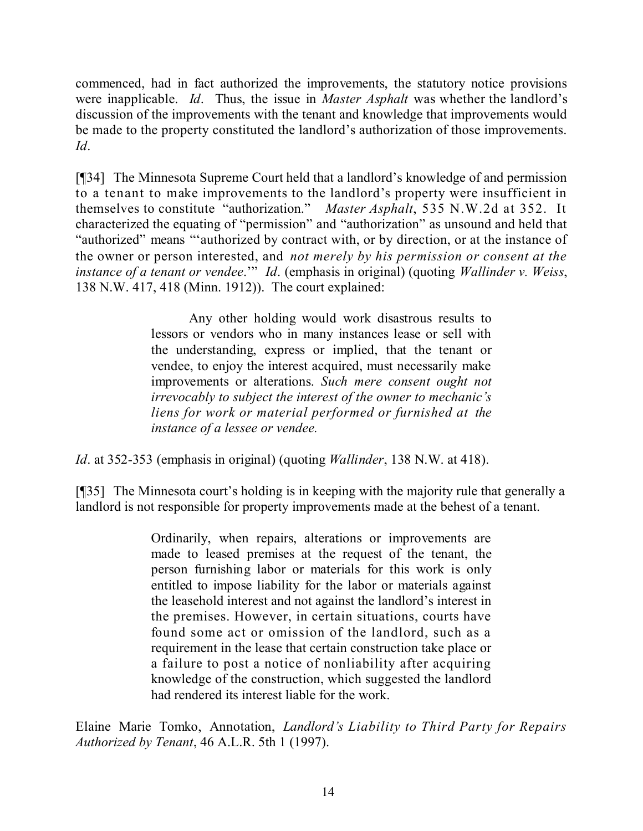commenced, had in fact authorized the improvements, the statutory notice provisions were inapplicable. *Id*. Thus, the issue in *Master Asphalt* was whether the landlord's discussion of the improvements with the tenant and knowledge that improvements would be made to the property constituted the landlord's authorization of those improvements. *Id*.

[¶34] The Minnesota Supreme Court held that a landlord's knowledge of and permission to a tenant to make improvements to the landlord's property were insufficient in themselves to constitute "authorization." *Master Asphalt*, 535 N.W.2d at 352. It characterized the equating of "permission" and "authorization" as unsound and held that "authorized" means "'authorized by contract with, or by direction, or at the instance of the owner or person interested, and *not merely by his permission or consent at the instance of a tenant or vendee*.'" *Id*. (emphasis in original) (quoting *Wallinder v. Weiss*, 138 N.W. 417, 418 (Minn. 1912)). The court explained:

> Any other holding would work disastrous results to lessors or vendors who in many instances lease or sell with the understanding, express or implied, that the tenant or vendee, to enjoy the interest acquired, must necessarily make improvements or alterations. *Such mere consent ought not irrevocably to subject the interest of the owner to mechanic's liens for work or material performed or furnished at the instance of a lessee or vendee.*

*Id*. at 352-353 (emphasis in original) (quoting *Wallinder*, 138 N.W. at 418).

[¶35] The Minnesota court's holding is in keeping with the majority rule that generally a landlord is not responsible for property improvements made at the behest of a tenant.

> Ordinarily, when repairs, alterations or improvements are made to leased premises at the request of the tenant, the person furnishing labor or materials for this work is only entitled to impose liability for the labor or materials against the leasehold interest and not against the landlord's interest in the premises. However, in certain situations, courts have found some act or omission of the landlord, such as a requirement in the lease that certain construction take place or a failure to post a notice of nonliability after acquiring knowledge of the construction, which suggested the landlord had rendered its interest liable for the work.

Elaine Marie Tomko, Annotation, *Landlord's Liability to Third Party for Repairs Authorized by Tenant*, 46 A.L.R. 5th 1 (1997).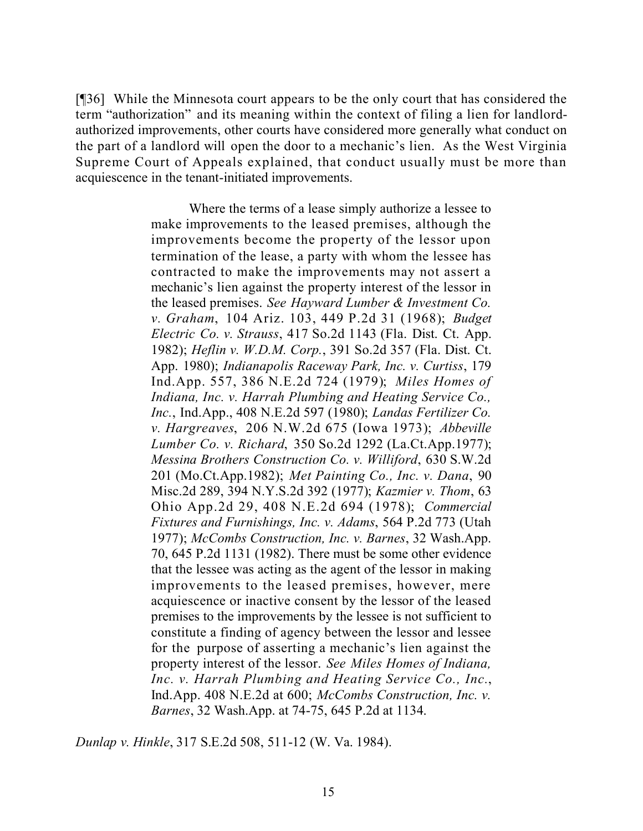[¶36] While the Minnesota court appears to be the only court that has considered the term "authorization" and its meaning within the context of filing a lien for landlordauthorized improvements, other courts have considered more generally what conduct on the part of a landlord will open the door to a mechanic's lien. As the West Virginia Supreme Court of Appeals explained, that conduct usually must be more than acquiescence in the tenant-initiated improvements.

> Where the terms of a lease simply authorize a lessee to make improvements to the leased premises, although the improvements become the property of the lessor upon termination of the lease, a party with whom the lessee has contracted to make the improvements may not assert a mechanic's lien against the property interest of the lessor in the leased premises. *See Hayward Lumber & Investment Co. v. Graham*, 104 Ariz. 103, 449 P.2d 31 (1968); *Budget Electric Co. v. Strauss*, 417 So.2d 1143 (Fla. Dist. Ct. App. 1982); *Heflin v. W.D.M. Corp.*, 391 So.2d 357 (Fla. Dist. Ct. App. 1980); *Indianapolis Raceway Park, Inc. v. Curtiss*, 179 Ind.App. 557, 386 N.E.2d 724 (1979); *Miles Homes of Indiana, Inc. v. Harrah Plumbing and Heating Service Co., Inc.*, Ind.App., 408 N.E.2d 597 (1980); *Landas Fertilizer Co. v. Hargreaves*, 206 N.W.2d 675 (Iowa 1973); *Abbeville Lumber Co. v. Richard*, 350 So.2d 1292 (La.Ct.App.1977); *Messina Brothers Construction Co. v. Williford*, 630 S.W.2d 201 (Mo.Ct.App.1982); *Met Painting Co., Inc. v. Dana*, 90 Misc.2d 289, 394 N.Y.S.2d 392 (1977); *Kazmier v. Thom*, 63 Ohio App.2d 29, 408 N.E.2d 694 (1978); *Commercial Fixtures and Furnishings, Inc. v. Adams*, 564 P.2d 773 (Utah 1977); *McCombs Construction, Inc. v. Barnes*, 32 Wash.App. 70, 645 P.2d 1131 (1982). There must be some other evidence that the lessee was acting as the agent of the lessor in making improvements to the leased premises, however, mere acquiescence or inactive consent by the lessor of the leased premises to the improvements by the lessee is not sufficient to constitute a finding of agency between the lessor and lessee for the purpose of asserting a mechanic's lien against the property interest of the lessor. *See Miles Homes of Indiana, Inc. v. Harrah Plumbing and Heating Service Co., Inc.*, Ind.App. 408 N.E.2d at 600; *McCombs Construction, Inc. v. Barnes*, 32 Wash.App. at 74-75, 645 P.2d at 1134.

*Dunlap v. Hinkle*, 317 S.E.2d 508, 511-12 (W. Va. 1984).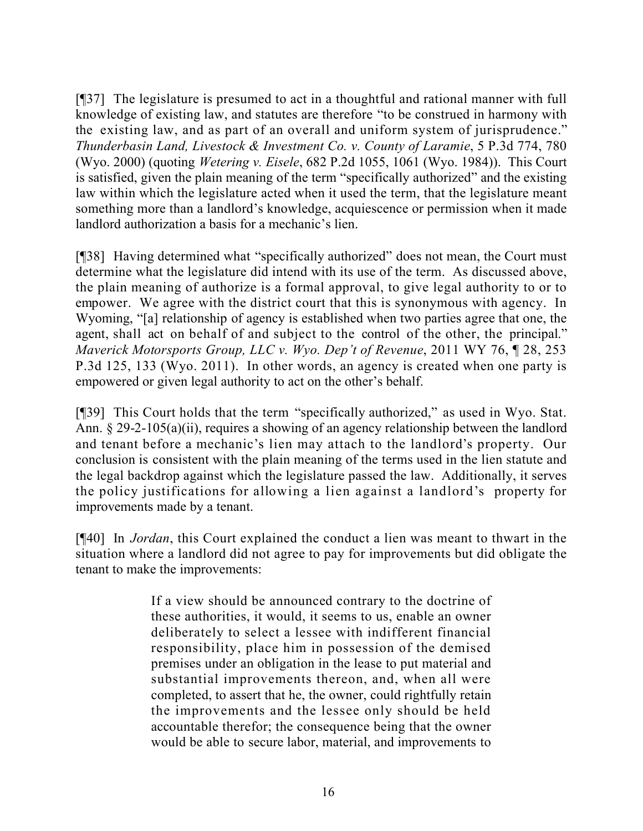[¶37] The legislature is presumed to act in a thoughtful and rational manner with full knowledge of existing law, and statutes are therefore "to be construed in harmony with the existing law, and as part of an overall and uniform system of jurisprudence." *Thunderbasin Land, Livestock & Investment Co. v. County of Laramie*, 5 P.3d 774, 780 (Wyo. 2000) (quoting *Wetering v. Eisele*, 682 P.2d 1055, 1061 (Wyo. 1984)). This Court is satisfied, given the plain meaning of the term "specifically authorized" and the existing law within which the legislature acted when it used the term, that the legislature meant something more than a landlord's knowledge, acquiescence or permission when it made landlord authorization a basis for a mechanic's lien.

[¶38] Having determined what "specifically authorized" does not mean, the Court must determine what the legislature did intend with its use of the term. As discussed above, the plain meaning of authorize is a formal approval, to give legal authority to or to empower. We agree with the district court that this is synonymous with agency. In Wyoming, "[a] relationship of agency is established when two parties agree that one, the agent, shall act on behalf of and subject to the control of the other, the principal." *Maverick Motorsports Group, LLC v. Wyo. Dep't of Revenue*, 2011 WY 76, ¶ 28, 253 P.3d 125, 133 (Wyo. 2011). In other words, an agency is created when one party is empowered or given legal authority to act on the other's behalf.

[¶39] This Court holds that the term "specifically authorized," as used in Wyo. Stat. Ann. § 29-2-105(a)(ii), requires a showing of an agency relationship between the landlord and tenant before a mechanic's lien may attach to the landlord's property. Our conclusion is consistent with the plain meaning of the terms used in the lien statute and the legal backdrop against which the legislature passed the law. Additionally, it serves the policy justifications for allowing a lien against a landlord's property for improvements made by a tenant.

[¶40] In *Jordan*, this Court explained the conduct a lien was meant to thwart in the situation where a landlord did not agree to pay for improvements but did obligate the tenant to make the improvements:

> If a view should be announced contrary to the doctrine of these authorities, it would, it seems to us, enable an owner deliberately to select a lessee with indifferent financial responsibility, place him in possession of the demised premises under an obligation in the lease to put material and substantial improvements thereon, and, when all were completed, to assert that he, the owner, could rightfully retain the improvements and the lessee only should be held accountable therefor; the consequence being that the owner would be able to secure labor, material, and improvements to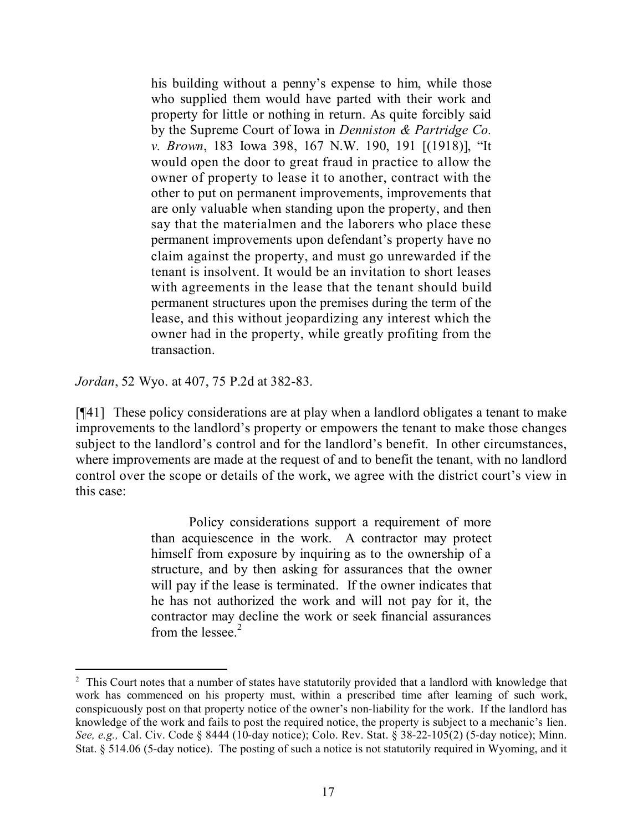his building without a penny's expense to him, while those who supplied them would have parted with their work and property for little or nothing in return. As quite forcibly said by the Supreme Court of Iowa in *Denniston & Partridge Co. v. Brown*, 183 Iowa 398, 167 N.W. 190, 191 [(1918)], "It would open the door to great fraud in practice to allow the owner of property to lease it to another, contract with the other to put on permanent improvements, improvements that are only valuable when standing upon the property, and then say that the materialmen and the laborers who place these permanent improvements upon defendant's property have no claim against the property, and must go unrewarded if the tenant is insolvent. It would be an invitation to short leases with agreements in the lease that the tenant should build permanent structures upon the premises during the term of the lease, and this without jeopardizing any interest which the owner had in the property, while greatly profiting from the transaction.

*Jordan*, 52 Wyo. at 407, 75 P.2d at 382-83.

[¶41] These policy considerations are at play when a landlord obligates a tenant to make improvements to the landlord's property or empowers the tenant to make those changes subject to the landlord's control and for the landlord's benefit. In other circumstances, where improvements are made at the request of and to benefit the tenant, with no landlord control over the scope or details of the work, we agree with the district court's view in this case:

> Policy considerations support a requirement of more than acquiescence in the work. A contractor may protect himself from exposure by inquiring as to the ownership of a structure, and by then asking for assurances that the owner will pay if the lease is terminated. If the owner indicates that he has not authorized the work and will not pay for it, the contractor may decline the work or seek financial assurances from the lessee. $2$

<sup>&</sup>lt;sup>2</sup> This Court notes that a number of states have statutorily provided that a landlord with knowledge that work has commenced on his property must, within a prescribed time after learning of such work, conspicuously post on that property notice of the owner's non-liability for the work. If the landlord has knowledge of the work and fails to post the required notice, the property is subject to a mechanic's lien. *See, e.g.,* Cal. Civ. Code § 8444 (10-day notice); Colo. Rev. Stat. § 38-22-105(2) (5-day notice); Minn. Stat. § 514.06 (5-day notice). The posting of such a notice is not statutorily required in Wyoming, and it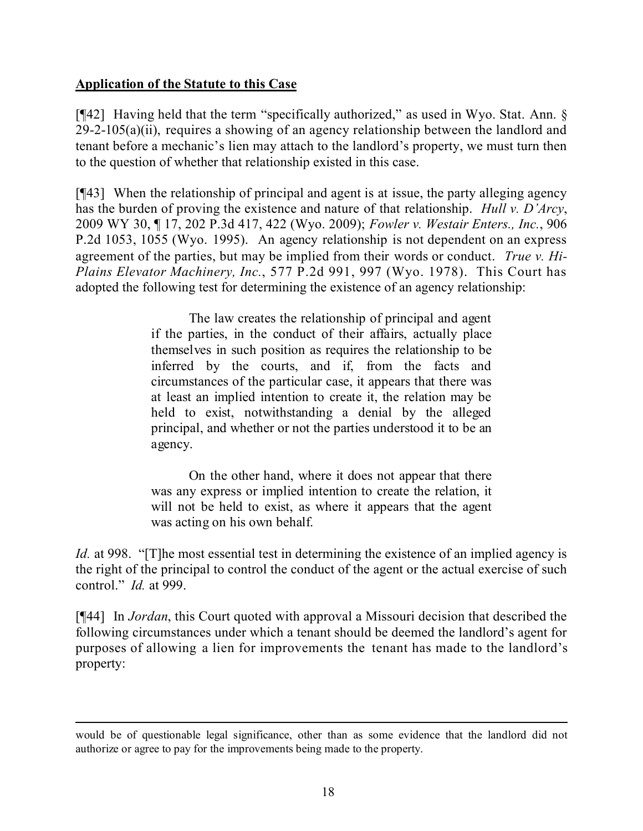## **Application of the Statute to this Case**

[¶42] Having held that the term "specifically authorized," as used in Wyo. Stat. Ann. § 29-2-105(a)(ii), requires a showing of an agency relationship between the landlord and tenant before a mechanic's lien may attach to the landlord's property, we must turn then to the question of whether that relationship existed in this case.

[¶43] When the relationship of principal and agent is at issue, the party alleging agency has the burden of proving the existence and nature of that relationship. *Hull v. D'Arcy*, 2009 WY 30, ¶ 17, 202 P.3d 417, 422 (Wyo. 2009); *Fowler v. Westair Enters., Inc.*, 906 P.2d 1053, 1055 (Wyo. 1995). An agency relationship is not dependent on an express agreement of the parties, but may be implied from their words or conduct. *True v. Hi-Plains Elevator Machinery, Inc.*, 577 P.2d 991, 997 (Wyo. 1978). This Court has adopted the following test for determining the existence of an agency relationship:

> The law creates the relationship of principal and agent if the parties, in the conduct of their affairs, actually place themselves in such position as requires the relationship to be inferred by the courts, and if, from the facts and circumstances of the particular case, it appears that there was at least an implied intention to create it, the relation may be held to exist, notwithstanding a denial by the alleged principal, and whether or not the parties understood it to be an agency.

> On the other hand, where it does not appear that there was any express or implied intention to create the relation, it will not be held to exist, as where it appears that the agent was acting on his own behalf.

*Id.* at 998. "[T]he most essential test in determining the existence of an implied agency is the right of the principal to control the conduct of the agent or the actual exercise of such control." *Id.* at 999.

[¶44] In *Jordan*, this Court quoted with approval a Missouri decision that described the following circumstances under which a tenant should be deemed the landlord's agent for purposes of allowing a lien for improvements the tenant has made to the landlord's property:

 $\overline{a}$ would be of questionable legal significance, other than as some evidence that the landlord did not authorize or agree to pay for the improvements being made to the property.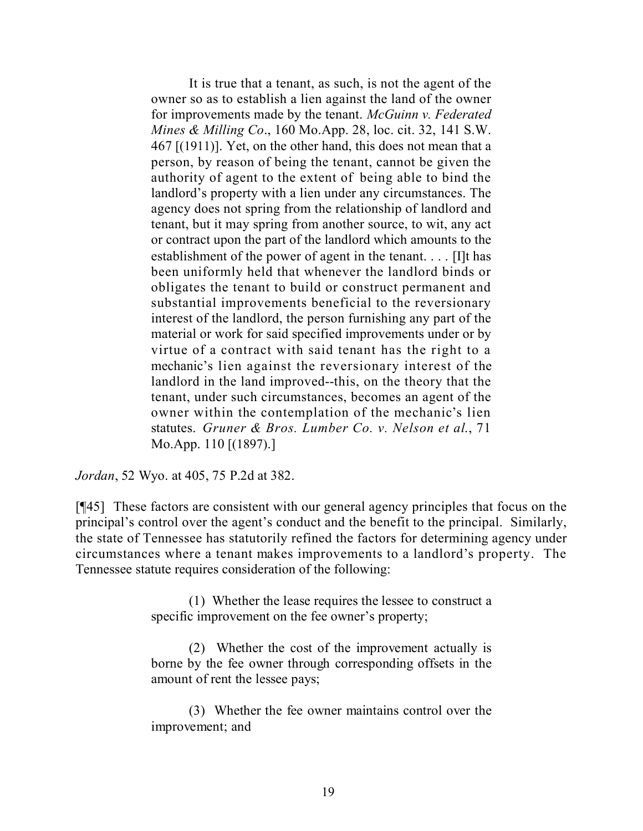It is true that a tenant, as such, is not the agent of the owner so as to establish a lien against the land of the owner for improvements made by the tenant. *McGuinn v. Federated Mines & Milling Co*., 160 Mo.App. 28, loc. cit. 32, 141 S.W. 467 [(1911)]. Yet, on the other hand, this does not mean that a person, by reason of being the tenant, cannot be given the authority of agent to the extent of being able to bind the landlord's property with a lien under any circumstances. The agency does not spring from the relationship of landlord and tenant, but it may spring from another source, to wit, any act or contract upon the part of the landlord which amounts to the establishment of the power of agent in the tenant. . . . [I]t has been uniformly held that whenever the landlord binds or obligates the tenant to build or construct permanent and substantial improvements beneficial to the reversionary interest of the landlord, the person furnishing any part of the material or work for said specified improvements under or by virtue of a contract with said tenant has the right to a mechanic's lien against the reversionary interest of the landlord in the land improved--this, on the theory that the tenant, under such circumstances, becomes an agent of the owner within the contemplation of the mechanic's lien statutes. *Gruner & Bros. Lumber Co. v. Nelson et al*., 71 Mo.App. 110 [(1897).]

*Jordan*, 52 Wyo. at 405, 75 P.2d at 382.

[¶45] These factors are consistent with our general agency principles that focus on the principal's control over the agent's conduct and the benefit to the principal. Similarly, the state of Tennessee has statutorily refined the factors for determining agency under circumstances where a tenant makes improvements to a landlord's property. The Tennessee statute requires consideration of the following:

> (1) Whether the lease requires the lessee to construct a specific improvement on the fee owner's property;

> (2) Whether the cost of the improvement actually is borne by the fee owner through corresponding offsets in the amount of rent the lessee pays;

> (3) Whether the fee owner maintains control over the improvement; and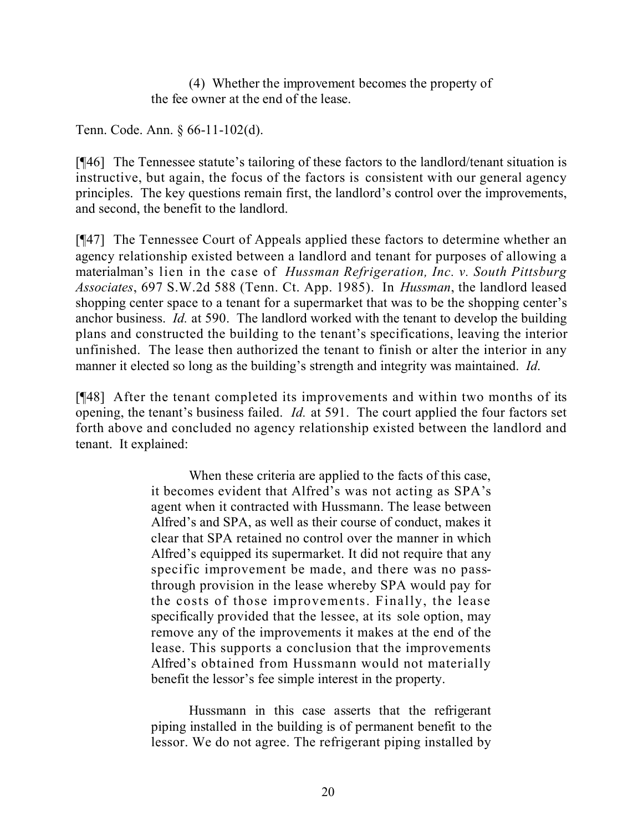(4) Whether the improvement becomes the property of the fee owner at the end of the lease.

Tenn. Code. Ann. § 66-11-102(d).

[¶46] The Tennessee statute's tailoring of these factors to the landlord/tenant situation is instructive, but again, the focus of the factors is consistent with our general agency principles. The key questions remain first, the landlord's control over the improvements, and second, the benefit to the landlord.

[¶47] The Tennessee Court of Appeals applied these factors to determine whether an agency relationship existed between a landlord and tenant for purposes of allowing a materialman's lien in the case of *Hussman Refrigeration, Inc. v. South Pittsburg Associates*, 697 S.W.2d 588 (Tenn. Ct. App. 1985). In *Hussman*, the landlord leased shopping center space to a tenant for a supermarket that was to be the shopping center's anchor business. *Id.* at 590. The landlord worked with the tenant to develop the building plans and constructed the building to the tenant's specifications, leaving the interior unfinished. The lease then authorized the tenant to finish or alter the interior in any manner it elected so long as the building's strength and integrity was maintained. *Id*.

[¶48] After the tenant completed its improvements and within two months of its opening, the tenant's business failed. *Id.* at 591. The court applied the four factors set forth above and concluded no agency relationship existed between the landlord and tenant. It explained:

> When these criteria are applied to the facts of this case, it becomes evident that Alfred's was not acting as SPA's agent when it contracted with Hussmann. The lease between Alfred's and SPA, as well as their course of conduct, makes it clear that SPA retained no control over the manner in which Alfred's equipped its supermarket. It did not require that any specific improvement be made, and there was no passthrough provision in the lease whereby SPA would pay for the costs of those improvements. Finally, the lease specifically provided that the lessee, at its sole option, may remove any of the improvements it makes at the end of the lease. This supports a conclusion that the improvements Alfred's obtained from Hussmann would not materially benefit the lessor's fee simple interest in the property.

> Hussmann in this case asserts that the refrigerant piping installed in the building is of permanent benefit to the lessor. We do not agree. The refrigerant piping installed by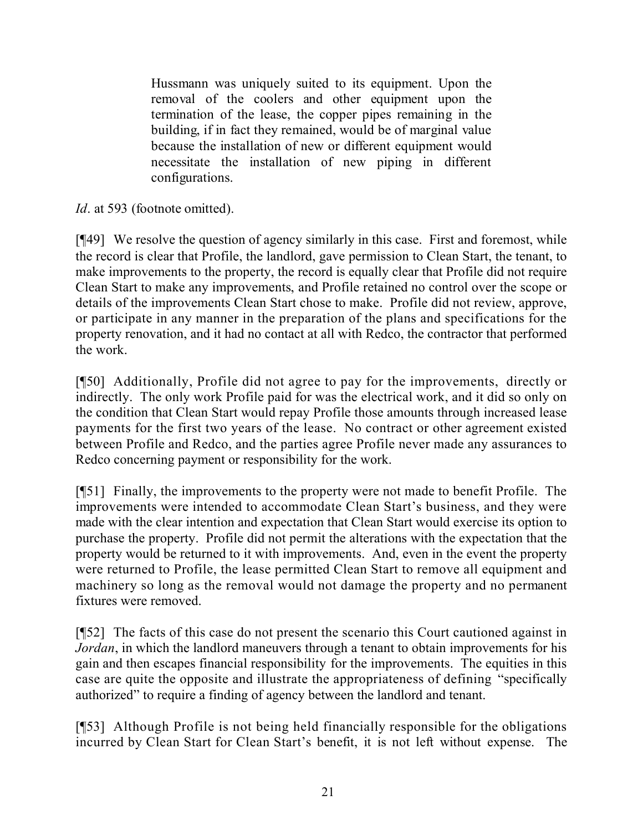Hussmann was uniquely suited to its equipment. Upon the removal of the coolers and other equipment upon the termination of the lease, the copper pipes remaining in the building, if in fact they remained, would be of marginal value because the installation of new or different equipment would necessitate the installation of new piping in different configurations.

*Id.* at 593 (footnote omitted).

[¶49] We resolve the question of agency similarly in this case. First and foremost, while the record is clear that Profile, the landlord, gave permission to Clean Start, the tenant, to make improvements to the property, the record is equally clear that Profile did not require Clean Start to make any improvements, and Profile retained no control over the scope or details of the improvements Clean Start chose to make. Profile did not review, approve, or participate in any manner in the preparation of the plans and specifications for the property renovation, and it had no contact at all with Redco, the contractor that performed the work.

[¶50] Additionally, Profile did not agree to pay for the improvements, directly or indirectly. The only work Profile paid for was the electrical work, and it did so only on the condition that Clean Start would repay Profile those amounts through increased lease payments for the first two years of the lease. No contract or other agreement existed between Profile and Redco, and the parties agree Profile never made any assurances to Redco concerning payment or responsibility for the work.

[¶51] Finally, the improvements to the property were not made to benefit Profile. The improvements were intended to accommodate Clean Start's business, and they were made with the clear intention and expectation that Clean Start would exercise its option to purchase the property. Profile did not permit the alterations with the expectation that the property would be returned to it with improvements. And, even in the event the property were returned to Profile, the lease permitted Clean Start to remove all equipment and machinery so long as the removal would not damage the property and no permanent fixtures were removed.

[¶52] The facts of this case do not present the scenario this Court cautioned against in *Jordan*, in which the landlord maneuvers through a tenant to obtain improvements for his gain and then escapes financial responsibility for the improvements. The equities in this case are quite the opposite and illustrate the appropriateness of defining "specifically authorized" to require a finding of agency between the landlord and tenant.

[¶53] Although Profile is not being held financially responsible for the obligations incurred by Clean Start for Clean Start's benefit, it is not left without expense. The